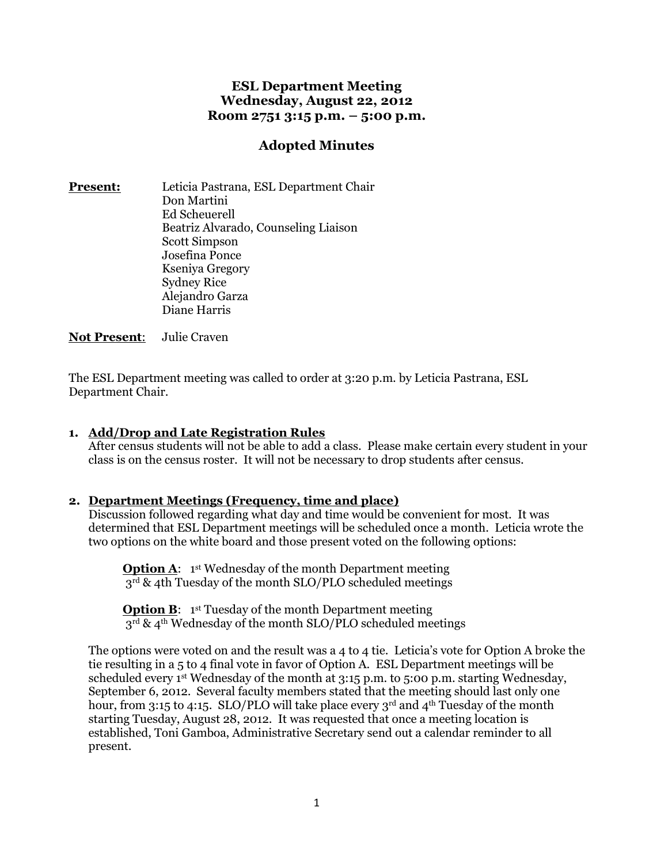# **ESL Department Meeting Wednesday, August 22, 2012 Room 2751 3:15 p.m. – 5:00 p.m.**

# **Adopted Minutes**

**Present:** Leticia Pastrana, ESL Department Chair Don Martini Ed Scheuerell Beatriz Alvarado, Counseling Liaison Scott Simpson Josefina Ponce Kseniya Gregory Sydney Rice Alejandro Garza Diane Harris

**Not Present**: Julie Craven

The ESL Department meeting was called to order at 3:20 p.m. by Leticia Pastrana, ESL Department Chair.

## **1. Add/Drop and Late Registration Rules**

After census students will not be able to add a class. Please make certain every student in your class is on the census roster. It will not be necessary to drop students after census.

### **2. Department Meetings (Frequency, time and place)**

Discussion followed regarding what day and time would be convenient for most. It was determined that ESL Department meetings will be scheduled once a month. Leticia wrote the two options on the white board and those present voted on the following options:

**Option A:** 1<sup>st</sup> Wednesday of the month Department meeting 3<sup>rd</sup> & 4th Tuesday of the month SLO/PLO scheduled meetings

**Option B:** 1<sup>st</sup> Tuesday of the month Department meeting  $3^{\overline{rd}}$  & 4<sup>th</sup> Wednesday of the month SLO/PLO scheduled meetings

The options were voted on and the result was a 4 to 4 tie. Leticia's vote for Option A broke the tie resulting in a 5 to 4 final vote in favor of Option A. ESL Department meetings will be scheduled every 1<sup>st</sup> Wednesday of the month at 3:15 p.m. to 5:00 p.m. starting Wednesday, September 6, 2012. Several faculty members stated that the meeting should last only one hour, from 3:15 to 4:15. SLO/PLO will take place every  $3<sup>rd</sup>$  and  $4<sup>th</sup>$  Tuesday of the month starting Tuesday, August 28, 2012. It was requested that once a meeting location is established, Toni Gamboa, Administrative Secretary send out a calendar reminder to all present.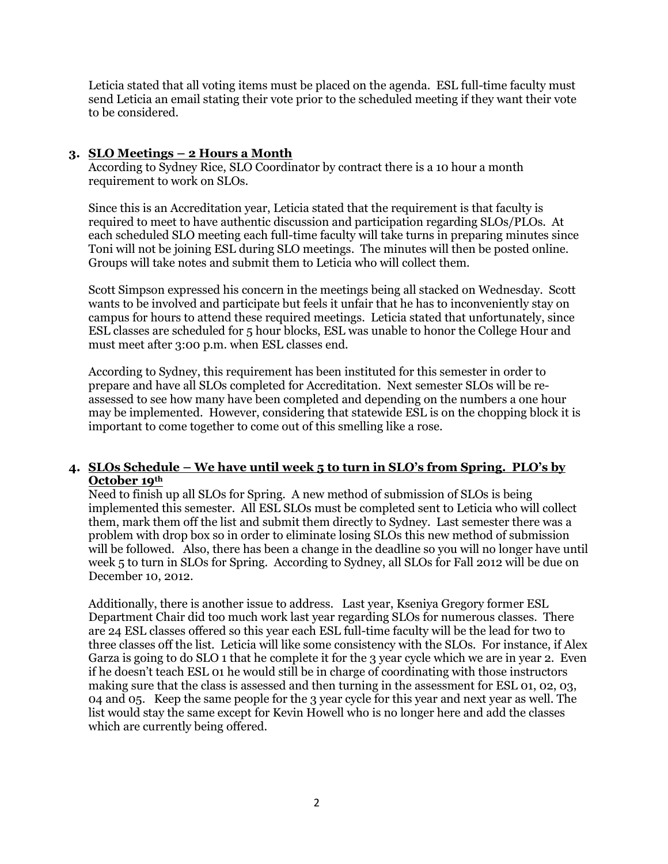Leticia stated that all voting items must be placed on the agenda. ESL full-time faculty must send Leticia an email stating their vote prior to the scheduled meeting if they want their vote to be considered.

## **3. SLO Meetings – 2 Hours a Month**

According to Sydney Rice, SLO Coordinator by contract there is a 10 hour a month requirement to work on SLOs.

Since this is an Accreditation year, Leticia stated that the requirement is that faculty is required to meet to have authentic discussion and participation regarding SLOs/PLOs. At each scheduled SLO meeting each full-time faculty will take turns in preparing minutes since Toni will not be joining ESL during SLO meetings. The minutes will then be posted online. Groups will take notes and submit them to Leticia who will collect them.

Scott Simpson expressed his concern in the meetings being all stacked on Wednesday. Scott wants to be involved and participate but feels it unfair that he has to inconveniently stay on campus for hours to attend these required meetings. Leticia stated that unfortunately, since ESL classes are scheduled for 5 hour blocks, ESL was unable to honor the College Hour and must meet after 3:00 p.m. when ESL classes end.

According to Sydney, this requirement has been instituted for this semester in order to prepare and have all SLOs completed for Accreditation. Next semester SLOs will be reassessed to see how many have been completed and depending on the numbers a one hour may be implemented. However, considering that statewide ESL is on the chopping block it is important to come together to come out of this smelling like a rose.

## **4. SLOs Schedule – We have until week 5 to turn in SLO's from Spring. PLO's by October 19th**

Need to finish up all SLOs for Spring. A new method of submission of SLOs is being implemented this semester. All ESL SLOs must be completed sent to Leticia who will collect them, mark them off the list and submit them directly to Sydney. Last semester there was a problem with drop box so in order to eliminate losing SLOs this new method of submission will be followed. Also, there has been a change in the deadline so you will no longer have until week 5 to turn in SLOs for Spring. According to Sydney, all SLOs for Fall 2012 will be due on December 10, 2012.

Additionally, there is another issue to address. Last year, Kseniya Gregory former ESL Department Chair did too much work last year regarding SLOs for numerous classes. There are 24 ESL classes offered so this year each ESL full-time faculty will be the lead for two to three classes off the list. Leticia will like some consistency with the SLOs. For instance, if Alex Garza is going to do SLO 1 that he complete it for the 3 year cycle which we are in year 2. Even if he doesn't teach ESL 01 he would still be in charge of coordinating with those instructors making sure that the class is assessed and then turning in the assessment for ESL 01, 02, 03, 04 and 05. Keep the same people for the 3 year cycle for this year and next year as well. The list would stay the same except for Kevin Howell who is no longer here and add the classes which are currently being offered.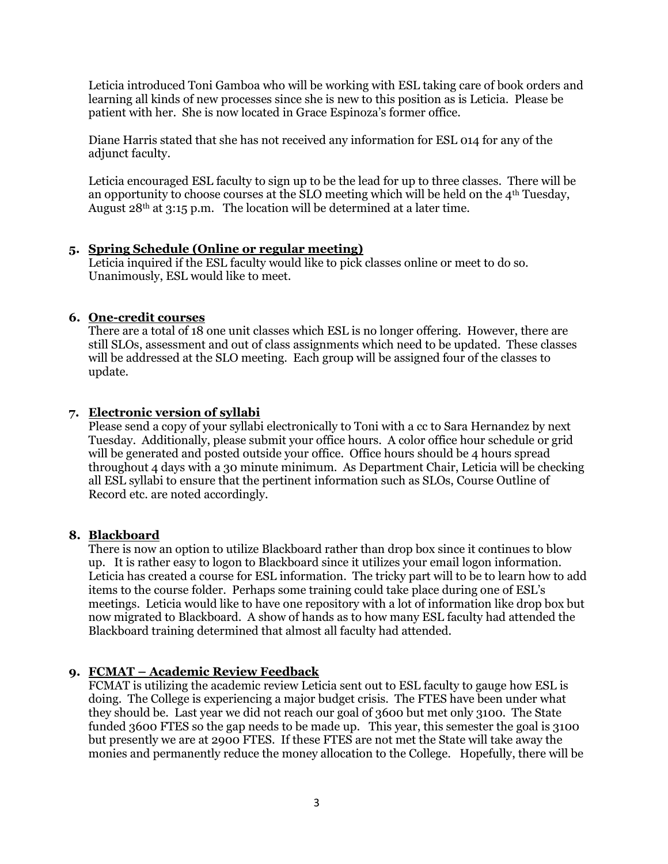Leticia introduced Toni Gamboa who will be working with ESL taking care of book orders and learning all kinds of new processes since she is new to this position as is Leticia. Please be patient with her. She is now located in Grace Espinoza's former office.

Diane Harris stated that she has not received any information for ESL 014 for any of the adjunct faculty.

Leticia encouraged ESL faculty to sign up to be the lead for up to three classes. There will be an opportunity to choose courses at the SLO meeting which will be held on the  $4<sup>th</sup>$  Tuesday, August 28th at 3:15 p.m. The location will be determined at a later time.

## **5. Spring Schedule (Online or regular meeting)**

Leticia inquired if the ESL faculty would like to pick classes online or meet to do so. Unanimously, ESL would like to meet.

# **6. One-credit courses**

There are a total of 18 one unit classes which ESL is no longer offering. However, there are still SLOs, assessment and out of class assignments which need to be updated. These classes will be addressed at the SLO meeting. Each group will be assigned four of the classes to update.

# **7. Electronic version of syllabi**

Please send a copy of your syllabi electronically to Toni with a cc to Sara Hernandez by next Tuesday. Additionally, please submit your office hours. A color office hour schedule or grid will be generated and posted outside your office. Office hours should be 4 hours spread throughout 4 days with a 30 minute minimum. As Department Chair, Leticia will be checking all ESL syllabi to ensure that the pertinent information such as SLOs, Course Outline of Record etc. are noted accordingly.

## **8. Blackboard**

There is now an option to utilize Blackboard rather than drop box since it continues to blow up. It is rather easy to logon to Blackboard since it utilizes your email logon information. Leticia has created a course for ESL information. The tricky part will to be to learn how to add items to the course folder. Perhaps some training could take place during one of ESL's meetings. Leticia would like to have one repository with a lot of information like drop box but now migrated to Blackboard. A show of hands as to how many ESL faculty had attended the Blackboard training determined that almost all faculty had attended.

# **9. FCMAT – Academic Review Feedback**

FCMAT is utilizing the academic review Leticia sent out to ESL faculty to gauge how ESL is doing. The College is experiencing a major budget crisis. The FTES have been under what they should be. Last year we did not reach our goal of 3600 but met only 3100. The State funded 3600 FTES so the gap needs to be made up. This year, this semester the goal is 3100 but presently we are at 2900 FTES. If these FTES are not met the State will take away the monies and permanently reduce the money allocation to the College. Hopefully, there will be